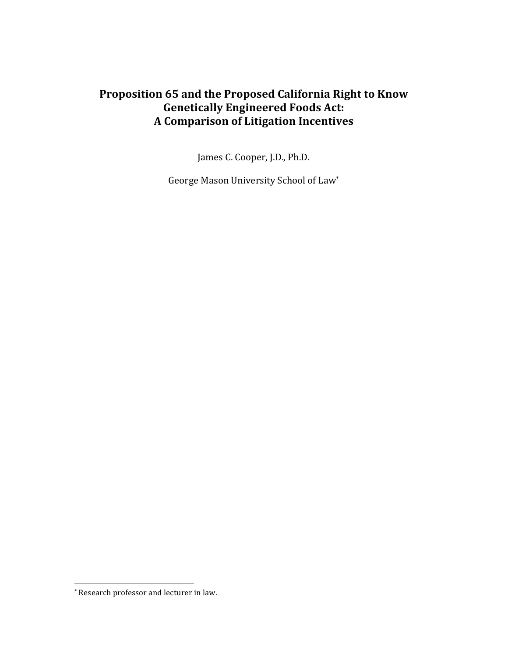# Proposition 65 and the Proposed California Right to Know **Genetically Engineered Foods Act: A Comparison of Litigation Incentives**

James C. Cooper, J.D., Ph.D.

George Mason University School of Law\*

<sup>\*</sup> Research professor and lecturer in law.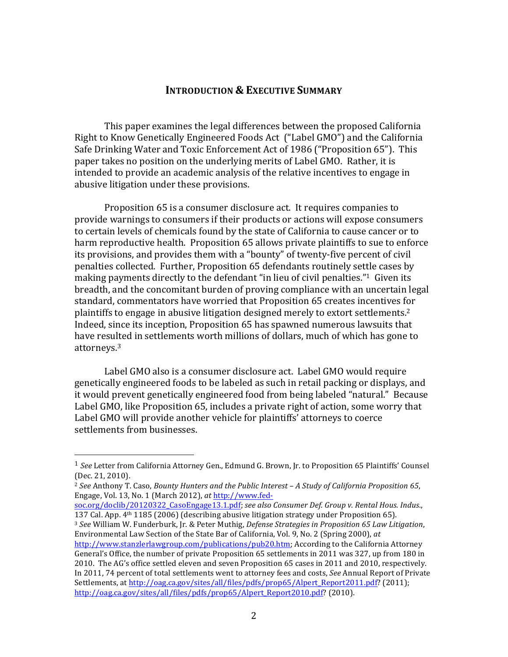### **INTRODUCTION & EXECUTIVE SUMMARY**

This paper examines the legal differences between the proposed California Right to Know Genetically Engineered Foods Act ("Label GMO") and the California Safe Drinking Water and Toxic Enforcement Act of 1986 ("Proposition 65"). This paper takes no position on the underlying merits of Label GMO. Rather, it is intended to provide an academic analysis of the relative incentives to engage in abusive litigation under these provisions.

Proposition 65 is a consumer disclosure act. It requires companies to provide warnings to consumers if their products or actions will expose consumers to certain levels of chemicals found by the state of California to cause cancer or to harm reproductive health. Proposition 65 allows private plaintiffs to sue to enforce its provisions, and provides them with a "bounty" of twenty-five percent of civil penalties collected. Further, Proposition 65 defendants routinely settle cases by making payments directly to the defendant "in lieu of civil penalties."<sup>1</sup> Given its breadth, and the concomitant burden of proving compliance with an uncertain legal standard, commentators have worried that Proposition 65 creates incentives for plaintiffs to engage in abusive litigation designed merely to extort settlements.<sup>2</sup> Indeed, since its inception, Proposition 65 has spawned numerous lawsuits that have resulted in settlements worth millions of dollars, much of which has gone to attorneys.<sup>3</sup>

Label GMO also is a consumer disclosure act. Label GMO would require genetically engineered foods to be labeled as such in retail packing or displays, and it would prevent genetically engineered food from being labeled "natural." Because Label GMO, like Proposition 65, includes a private right of action, some worry that Label GMO will provide another vehicle for plaintiffs' attorneys to coerce settlements from businesses.

&&&&&&&&&&&&&&&&&&&&&&&&&&&&&&&&&&&&&&&&&&&&&&&&&&&&&&&

<sup>3</sup> See William W. Funderburk, Jr. & Peter Muthig, *Defense Strategies in Proposition 65 Law Litigation*, Environmental Law Section of the State Bar of California, Vol. 9, No. 2 (Spring 2000), at

<sup>&</sup>lt;sup>1</sup> See Letter from California Attorney Gen., Edmund G. Brown, Jr. to Proposition 65 Plaintiffs' Counsel  $(Dec. 21, 2010).$ 

<sup>&</sup>lt;sup>2</sup> See Anthony T. Caso, Bounty Hunters and the Public Interest – A Study of California Proposition 65, Engage, Vol. 13, No. 1 (March 2012), at http://www.fed-

soc.org/doclib/20120322\_CasoEngage13.1.pdf; see also *Consumer Def. Group v. Rental Hous. Indus.*, 137 Cal. App.  $4<sup>th</sup> 1185$  (2006) (describing abusive litigation strategy under Proposition 65).

http://www.stanzlerlawgroup.com/publications/pub20.htm; According to the California Attorney General's Office, the number of private Proposition 65 settlements in 2011 was 327, up from 180 in 2010. The AG's office settled eleven and seven Proposition 65 cases in 2011 and 2010, respectively. In 2011, 74 percent of total settlements went to attorney fees and costs, See Annual Report of Private Settlements, at http://oag.ca.gov/sites/all/files/pdfs/prop65/Alpert\_Report2011.pdf? (2011); http://oag.ca.gov/sites/all/files/pdfs/prop65/Alpert\_Report2010.pdf? (2010).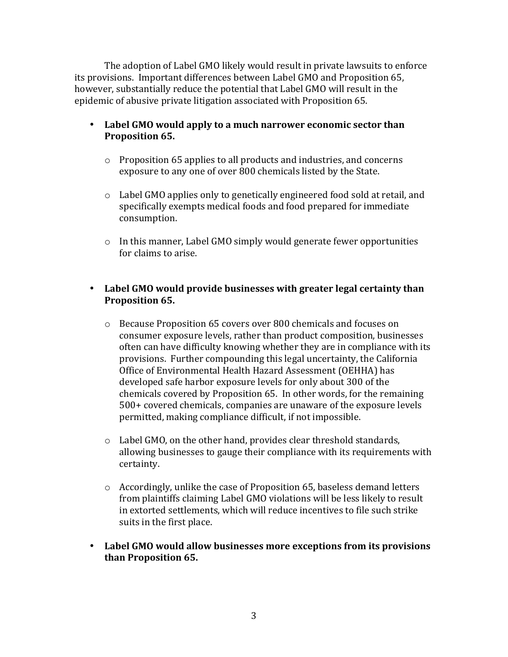The adoption of Label GMO likely would result in private lawsuits to enforce its provisions. Important differences between Label GMO and Proposition 65, however, substantially reduce the potential that Label GMO will result in the epidemic of abusive private litigation associated with Proposition 65.

- Label GMO would apply to a much narrower economic sector than **Proposition 65.**
	- $\circ$  Proposition 65 applies to all products and industries, and concerns exposure to any one of over 800 chemicals listed by the State.
	- $\circ$  Label GMO applies only to genetically engineered food sold at retail, and specifically exempts medical foods and food prepared for immediate consumption.
	- $\circ$  In this manner, Label GMO simply would generate fewer opportunities for claims to arise.

# • Label GMO would provide businesses with greater legal certainty than **Proposition 65.**

- o Because Proposition 65 covers over 800 chemicals and focuses on consumer exposure levels, rather than product composition, businesses often can have difficulty knowing whether they are in compliance with its provisions. Further compounding this legal uncertainty, the California Office of Environmental Health Hazard Assessment (OEHHA) has developed safe harbor exposure levels for only about 300 of the chemicals covered by Proposition 65. In other words, for the remaining 500+ covered chemicals, companies are unaware of the exposure levels permitted, making compliance difficult, if not impossible.
- $\circ$  Label GMO, on the other hand, provides clear threshold standards, allowing businesses to gauge their compliance with its requirements with certainty.
- $\circ$  Accordingly, unlike the case of Proposition 65, baseless demand letters from plaintiffs claiming Label GMO violations will be less likely to result in extorted settlements, which will reduce incentives to file such strike suits in the first place.
- Label GMO would allow businesses more exceptions from its provisions **than!Proposition!65.**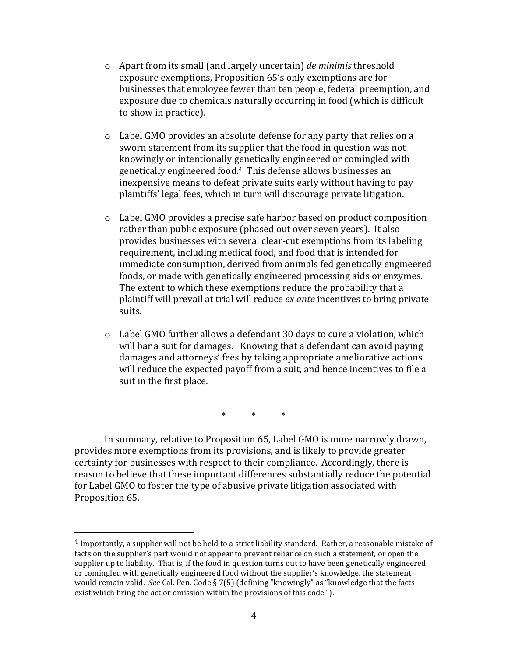- o Apart&from&its&small&(and&largely&uncertain)&*de)minimis* threshold& exposure exemptions, Proposition 65's only exemptions are for businesses that employee fewer than ten people, federal preemption, and exposure due to chemicals naturally occurring in food (which is difficult to show in practice).
- $\circ$  Label GMO provides an absolute defense for any party that relies on a sworn statement from its supplier that the food in question was not knowingly or intentionally genetically engineered or comingled with genetically engineered food.<sup>4</sup> This defense allows businesses an inexpensive means to defeat private suits early without having to pay plaintiffs' legal fees, which in turn will discourage private litigation.
- $\circ$  Label GMO provides a precise safe harbor based on product composition rather than public exposure (phased out over seven years). It also provides businesses with several clear-cut exemptions from its labeling requirement, including medical food, and food that is intended for immediate consumption, derived from animals fed genetically engineered foods, or made with genetically engineered processing aids or enzymes. The extent to which these exemptions reduce the probability that a plaintiff will prevail at trial will reduce *ex ante* incentives to bring private suits.
- $\circ$  Label GMO further allows a defendant 30 days to cure a violation, which will bar a suit for damages. Knowing that a defendant can avoid paying damages and attorneys' fees by taking appropriate ameliorative actions will reduce the expected payoff from a suit, and hence incentives to file a suit in the first place.

\* \* \*

In summary, relative to Proposition 65, Label GMO is more narrowly drawn, provides more exemptions from its provisions, and is likely to provide greater certainty for businesses with respect to their compliance. Accordingly, there is reason to believe that these important differences substantially reduce the potential for Label GMO to foster the type of abusive private litigation associated with Proposition 65.

 $4$  Importantly, a supplier will not be held to a strict liability standard. Rather, a reasonable mistake of facts on the supplier's part would not appear to prevent reliance on such a statement, or open the supplier up to liability. That is, if the food in question turns out to have been genetically engineered or comingled with genetically engineered food without the supplier's knowledge, the statement would remain valid. See Cal. Pen. Code § 7(5) (defining "knowingly" as "knowledge that the facts exist which bring the act or omission within the provisions of this code.").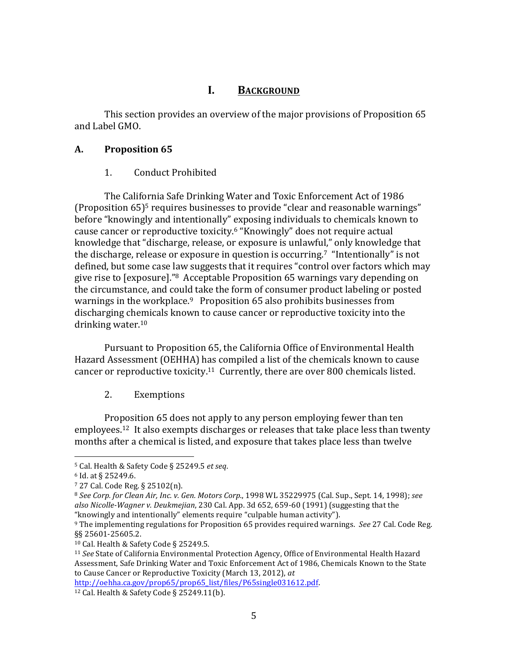# **I. BACKGROUND**

This section provides an overview of the major provisions of Proposition 65 and Label GMO.

### **A. Proposition!65**

### 1. Conduct Prohibited

The California Safe Drinking Water and Toxic Enforcement Act of 1986 (Proposition  $65$ )<sup>5</sup> requires businesses to provide "clear and reasonable warnings" before "knowingly and intentionally" exposing individuals to chemicals known to cause cancer or reproductive toxicity.<sup>6</sup> "Knowingly" does not require actual knowledge that "discharge, release, or exposure is unlawful," only knowledge that the discharge, release or exposure in question is occurring.<sup>7</sup> "Intentionally" is not defined, but some case law suggests that it requires "control over factors which may give rise to [exposure]."<sup>8</sup> Acceptable Proposition 65 warnings vary depending on the circumstance, and could take the form of consumer product labeling or posted warnings in the workplace.<sup>9</sup> Proposition 65 also prohibits businesses from discharging chemicals known to cause cancer or reproductive toxicity into the drinking water. $10$ 

Pursuant to Proposition 65, the California Office of Environmental Health Hazard Assessment (OEHHA) has compiled a list of the chemicals known to cause cancer or reproductive toxicity.<sup>11</sup> Currently, there are over 800 chemicals listed.

#### 2. Exemptions

Proposition 65 does not apply to any person employing fewer than ten employees.<sup>12</sup> It also exempts discharges or releases that take place less than twenty months after a chemical is listed, and exposure that takes place less than twelve

&&&&&&&&&&&&&&&&&&&&&&&&&&&&&&&&&&&&&&&&&&&&&&&&&&&&&&&

http://oehha.ca.gov/prop65/prop65\_list/files/P65single031612.pdf.&

<sup>5</sup> Cal. Health & Safety Code § 25249.5 et seq.

 $6$  Id. at § 25249.6.

<sup>7 27</sup> Cal. Code Reg. § 25102(n).

<sup>8</sup> See Corp. for Clean Air, Inc. v. Gen. Motors Corp., 1998 WL 35229975 (Cal. Sup., Sept. 14, 1998); see also Nicolle-Wagner v. Deukmejian, 230 Cal. App. 3d 652, 659-60 (1991) (suggesting that the "knowingly and intentionally" elements require "culpable human activity").

<sup>&</sup>lt;sup>9</sup> The implementing regulations for Proposition 65 provides required warnings. See 27 Cal. Code Reg. §§ 25601-25605.2.

<sup>10</sup> Cal. Health & Safety Code § 25249.5.

<sup>&</sup>lt;sup>11</sup> See State of California Environmental Protection Agency, Office of Environmental Health Hazard Assessment, Safe Drinking Water and Toxic Enforcement Act of 1986, Chemicals Known to the State to Cause Cancer or Reproductive Toxicity (March 13, 2012), at

<sup>&</sup>lt;sup>12</sup> Cal. Health & Safety Code § 25249.11(b).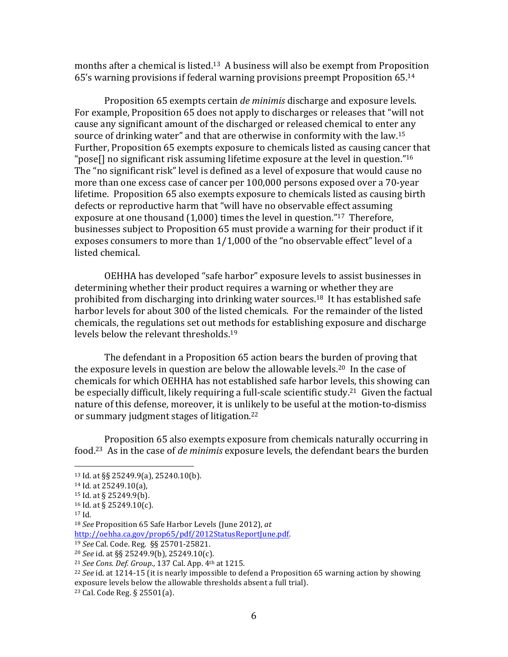months after a chemical is listed.<sup>13</sup> A business will also be exempt from Proposition 65's warning provisions if federal warning provisions preempt Proposition 65.<sup>14</sup>

Proposition 65 exempts certain *de minimis* discharge and exposure levels. For example, Proposition 65 does not apply to discharges or releases that "will not cause any significant amount of the discharged or released chemical to enter any source of drinking water" and that are otherwise in conformity with the law.<sup>15</sup> Further, Proposition 65 exempts exposure to chemicals listed as causing cancer that "pose[] no significant risk assuming lifetime exposure at the level in question."<sup>16</sup> The "no significant risk" level is defined as a level of exposure that would cause no more than one excess case of cancer per 100,000 persons exposed over a 70-year lifetime. Proposition 65 also exempts exposure to chemicals listed as causing birth defects or reproductive harm that "will have no observable effect assuming exposure at one thousand (1,000) times the level in question."<sup>17</sup> Therefore, businesses subject to Proposition 65 must provide a warning for their product if it exposes consumers to more than  $1/1,000$  of the "no observable effect" level of a listed chemical.

OEHHA has developed "safe harbor" exposure levels to assist businesses in determining whether their product requires a warning or whether they are prohibited from discharging into drinking water sources.<sup>18</sup> It has established safe harbor levels for about 300 of the listed chemicals. For the remainder of the listed chemicals, the regulations set out methods for establishing exposure and discharge levels below the relevant thresholds.<sup>19</sup>

The defendant in a Proposition 65 action bears the burden of proving that the exposure levels in question are below the allowable levels.<sup>20</sup> In the case of chemicals for which OEHHA has not established safe harbor levels, this showing can be especially difficult, likely requiring a full-scale scientific study.<sup>21</sup> Given the factual nature of this defense, moreover, it is unlikely to be useful at the motion-to-dismiss or summary judgment stages of litigation.<sup>22</sup>

Proposition 65 also exempts exposure from chemicals naturally occurring in food.<sup>23</sup> As in the case of *de minimis* exposure levels, the defendant bears the burden

http://oehha.ca.gov/prop65/pdf/2012StatusReportJune.pdf.&

<sup>&</sup>amp;&&&&&&&&&&&&&&&&&&&&&&&&&&&&&&&&&&&&&&&&&&&&&&&&&&&&&& 13 Id. at §§ 25249.9(a), 25240.10(b).

 $14$  Id. at 25249.10(a),

 $15$  Id. at § 25249.9(b).

 $16$  Id. at § 25249.10(c).

 $17$  Id.

<sup>&</sup>lt;sup>18</sup> *See* Proposition 65 Safe Harbor Levels (June 2012), at

<sup>&</sup>lt;sup>19</sup> *See* Cal. Code. Reg. §§ 25701-25821.

<sup>&</sup>lt;sup>20</sup> *See* id. at §§ 25249.9(b), 25249.10(c).

<sup>&</sup>lt;sup>21</sup> *See Cons. Def. Group.*, 137 Cal. App. 4<sup>th</sup> at 1215.

<sup>&</sup>lt;sup>22</sup> *See* id. at 1214-15 (it is nearly impossible to defend a Proposition 65 warning action by showing exposure levels below the allowable thresholds absent a full trial).

<sup>&</sup>lt;sup>23</sup> Cal. Code Reg. § 25501(a).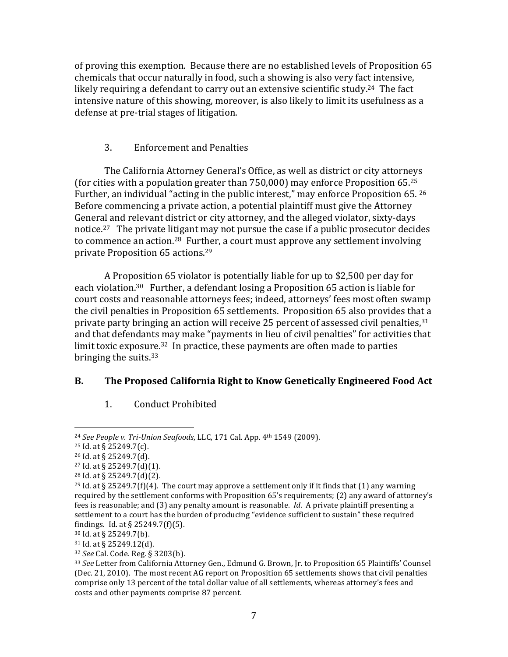of proving this exemption. Because there are no established levels of Proposition 65 chemicals that occur naturally in food, such a showing is also very fact intensive, likely requiring a defendant to carry out an extensive scientific study.<sup>24</sup> The fact intensive nature of this showing, moreover, is also likely to limit its usefulness as a defense at pre-trial stages of litigation.

# 3. Enforcement and Penalties

The California Attorney General's Office, as well as district or city attorneys (for cities with a population greater than  $750,000$ ) may enforce Proposition 65.<sup>25</sup> Further, an individual "acting in the public interest," may enforce Proposition 65. 26 Before commencing a private action, a potential plaintiff must give the Attorney General and relevant district or city attorney, and the alleged violator, sixty-days notice.<sup>27</sup> The private litigant may not pursue the case if a public prosecutor decides to commence an action.<sup>28</sup> Further, a court must approve any settlement involving private Proposition 65 actions.<sup>29</sup>

A Proposition 65 violator is potentially liable for up to \$2,500 per day for each violation.<sup>30</sup> Further, a defendant losing a Proposition 65 action is liable for court costs and reasonable attorneys fees; indeed, attorneys' fees most often swamp the civil penalties in Proposition 65 settlements. Proposition 65 also provides that a private party bringing an action will receive 25 percent of assessed civil penalties,  $31$ and that defendants may make "payments in lieu of civil penalties" for activities that limit toxic exposure.<sup>32</sup> In practice, these payments are often made to parties bringing the suits. $33$ 

# **B. The Proposed California Right to Know Genetically Engineered Food Act**

1. Conduct Prohibited

&&&&&&&&&&&&&&&&&&&&&&&&&&&&&&&&&&&&&&&&&&&&&&&&&&&&&&&

 $31$  Id. at § 25249.12(d).

<sup>&</sup>lt;sup>24</sup> See People v. Tri-Union Seafoods, LLC, 171 Cal. App. 4<sup>th</sup> 1549 (2009).

 $25$  Id. at § 25249.7(c).

<sup>&</sup>lt;sup>26</sup> Id. at § 25249.7(d).

 $27$  Id. at § 25249.7(d)(1).

 $28$  Id. at § 25249.7(d)(2).

<sup>&</sup>lt;sup>29</sup> Id. at § 25249.7(f)(4). The court may approve a settlement only if it finds that (1) any warning required by the settlement conforms with Proposition 65's requirements; (2) any award of attorney's fees is reasonable; and (3) any penalty amount is reasonable. *Id.* A private plaintiff presenting a settlement to a court has the burden of producing "evidence sufficient to sustain" these required findings. Id. at  $\S 25249.7(f)(5)$ .

<sup>30</sup> Id. at § 25249.7(b).

<sup>&</sup>lt;sup>32</sup> *See* Cal. Code. Reg. § 3203(b).

<sup>&</sup>lt;sup>33</sup> See Letter from California Attorney Gen., Edmund G. Brown, Jr. to Proposition 65 Plaintiffs' Counsel (Dec. 21, 2010). The most recent AG report on Proposition 65 settlements shows that civil penalties comprise only 13 percent of the total dollar value of all settlements, whereas attorney's fees and costs and other payments comprise 87 percent.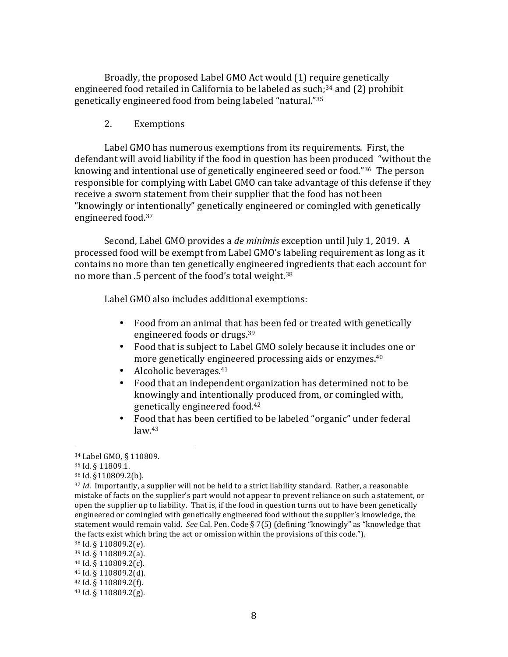Broadly, the proposed Label GMO Act would (1) require genetically engineered food retailed in California to be labeled as such;<sup>34</sup> and (2) prohibit genetically engineered food from being labeled "natural."<sup>35</sup>

### 2. Exemptions

Label GMO has numerous exemptions from its requirements. First, the defendant will avoid liability if the food in question has been produced "without the knowing and intentional use of genetically engineered seed or food."36 The person responsible for complying with Label GMO can take advantage of this defense if they receive a sworn statement from their supplier that the food has not been "knowingly or intentionally" genetically engineered or comingled with genetically engineered food.<sup>37</sup>

Second, Label GMO provides a *de minimis* exception until July 1, 2019. A processed food will be exempt from Label GMO's labeling requirement as long as it contains no more than ten genetically engineered ingredients that each account for no more than .5 percent of the food's total weight.<sup>38</sup>

Label GMO also includes additional exemptions:

- Food from an animal that has been fed or treated with genetically engineered foods or drugs.<sup>39</sup>
- Food that is subject to Label GMO solely because it includes one or more genetically engineered processing aids or enzymes.<sup>40</sup>
- Alcoholic beverages. $41$
- Food that an independent organization has determined not to be knowingly and intentionally produced from, or comingled with, genetically engineered food.<sup>42</sup>
- Food that has been certified to be labeled "organic" under federal  $law<sup>43</sup>$

<sup>34</sup> Label GMO, § 110809.

<sup>35</sup> Id. § 11809.1.

<sup>36</sup> Id. §110809.2(b).

<sup>&</sup>lt;sup>37</sup> *Id.* Importantly, a supplier will not be held to a strict liability standard. Rather, a reasonable mistake of facts on the supplier's part would not appear to prevent reliance on such a statement, or open the supplier up to liability. That is, if the food in question turns out to have been genetically engineered or comingled with genetically engineered food without the supplier's knowledge, the statement would remain valid. See Cal. Pen. Code § 7(5) (defining "knowingly" as "knowledge that the facts exist which bring the act or omission within the provisions of this code.").

 $38$  Id.  $\S$  110809.2(e).

 $39$  Id. § 110809.2(a).

<sup>40</sup> Id.&§&110809.2(c).

 $41$  Id. § 110809.2(d).

 $42$  Id. § 110809.2(f).

 $43$  Id.  $\S$  110809.2(g).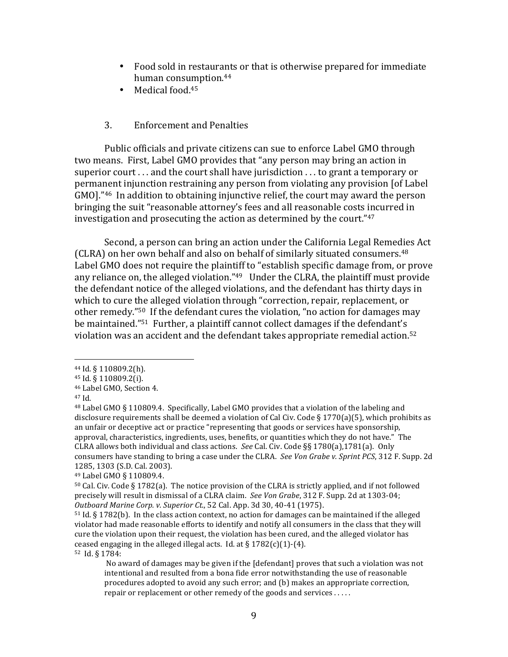- Food sold in restaurants or that is otherwise prepared for immediate human consumption.<sup>44</sup>
- Medical food. $45$

#### 3. Enforcement and Penalties

Public officials and private citizens can sue to enforce Label GMO through two means. First, Label GMO provides that "any person may bring an action in superior court  $\dots$  and the court shall have jurisdiction  $\dots$  to grant a temporary or permanent injunction restraining any person from violating any provision [of Label GMO]."<sup>46</sup> In addition to obtaining injunctive relief, the court may award the person bringing the suit "reasonable attorney's fees and all reasonable costs incurred in investigation and prosecuting the action as determined by the court." $47$ 

Second, a person can bring an action under the California Legal Remedies Act (CLRA) on her own behalf and also on behalf of similarly situated consumers.<sup>48</sup> Label GMO does not require the plaintiff to "establish specific damage from, or prove any reliance on, the alleged violation." $49$  Under the CLRA, the plaintiff must provide the defendant notice of the alleged violations, and the defendant has thirty days in which to cure the alleged violation through "correction, repair, replacement, or other remedy."<sup>50</sup> If the defendant cures the violation, "no action for damages may be maintained."<sup>51</sup> Further, a plaintiff cannot collect damages if the defendant's violation was an accident and the defendant takes appropriate remedial action.<sup>52</sup>

&&&&&&&&&&&&&&&&&&&&&&&&&&&&&&&&&&&&&&&&&&&&&&&&&&&&&&&

52 Id. § 1784:

<sup>44</sup> Id. § 110809.2(h).

 $45$  Id. § 110809.2(i).

<sup>46</sup> Label GMO, Section 4.

<sup>47</sup> Id.

<sup>&</sup>lt;sup>48</sup> Label GMO § 110809.4. Specifically, Label GMO provides that a violation of the labeling and disclosure requirements shall be deemed a violation of Cal Civ. Code § 1770(a)(5), which prohibits as an unfair or deceptive act or practice "representing that goods or services have sponsorship, approval, characteristics, ingredients, uses, benefits, or quantities which they do not have." The CLRA allows both individual and class actions. See Cal. Civ. Code §§ 1780(a),1781(a). Only consumers have standing to bring a case under the CLRA. See Von Grabe v. Sprint PCS, 312 F. Supp. 2d 1285, 1303 (S.D. Cal. 2003).

<sup>49</sup> Label GMO § 110809.4.

 $50$  Cal. Civ. Code § 1782(a). The notice provision of the CLRA is strictly applied, and if not followed precisely will result in dismissal of a CLRA claim. See Von Grabe, 312 F. Supp. 2d at 1303-04; *Outboard Marine Corp. v. Superior Ct.*, 52 Cal. App. 3d 30, 40-41 (1975).

 $51$  Id. § 1782(b). In the class action context, no action for damages can be maintained if the alleged violator had made reasonable efforts to identify and notify all consumers in the class that they will cure the violation upon their request, the violation has been cured, and the alleged violator has ceased engaging in the alleged illegal acts. Id. at  $\S 1782(c)(1)-(4)$ .

No award of damages may be given if the [defendant] proves that such a violation was not intentional and resulted from a bona fide error notwithstanding the use of reasonable procedures adopted to avoid any such error; and (b) makes an appropriate correction, repair or replacement or other remedy of the goods and services .....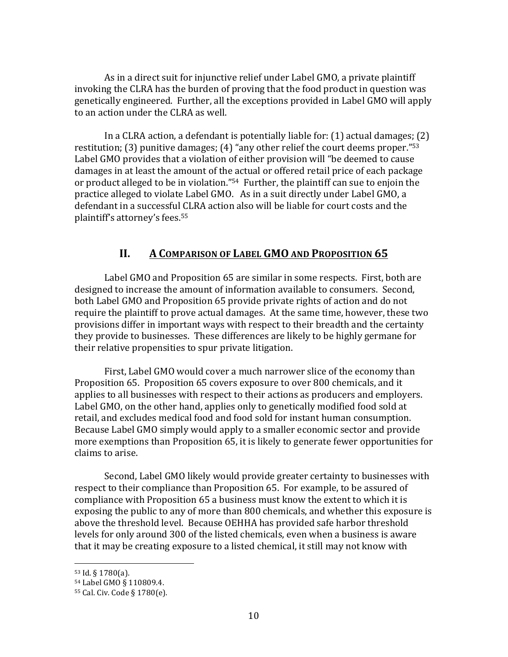As in a direct suit for injunctive relief under Label GMO, a private plaintiff invoking the CLRA has the burden of proving that the food product in question was genetically engineered. Further, all the exceptions provided in Label GMO will apply to an action under the CLRA as well.

In a CLRA action, a defendant is potentially liable for:  $(1)$  actual damages;  $(2)$ restitution; (3) punitive damages; (4) "any other relief the court deems proper." $53$ Label GMO provides that a violation of either provision will "be deemed to cause damages in at least the amount of the actual or offered retail price of each package or product alleged to be in violation."<sup>54</sup> Further, the plaintiff can sue to enjoin the practice alleged to violate Label GMO. As in a suit directly under Label GMO, a defendant in a successful CLRA action also will be liable for court costs and the plaintiff's attorney's fees.<sup>55</sup>

# **II. A COMPARISON OF LABEL GMO AND PROPOSITION 65**

Label GMO and Proposition 65 are similar in some respects. First, both are designed to increase the amount of information available to consumers. Second, both Label GMO and Proposition 65 provide private rights of action and do not require the plaintiff to prove actual damages. At the same time, however, these two provisions differ in important ways with respect to their breadth and the certainty they provide to businesses. These differences are likely to be highly germane for their relative propensities to spur private litigation.

First, Label GMO would cover a much narrower slice of the economy than Proposition 65. Proposition 65 covers exposure to over 800 chemicals, and it applies to all businesses with respect to their actions as producers and employers. Label GMO, on the other hand, applies only to genetically modified food sold at retail, and excludes medical food and food sold for instant human consumption. Because Label GMO simply would apply to a smaller economic sector and provide more exemptions than Proposition 65, it is likely to generate fewer opportunities for claims to arise.

Second, Label GMO likely would provide greater certainty to businesses with respect to their compliance than Proposition 65. For example, to be assured of compliance with Proposition 65 a business must know the extent to which it is exposing the public to any of more than 800 chemicals, and whether this exposure is above the threshold level. Because OEHHA has provided safe harbor threshold levels for only around 300 of the listed chemicals, even when a business is aware that it may be creating exposure to a listed chemical, it still may not know with

 $53$  Id. § 1780(a).

<sup>54</sup> Label GMO § 110809.4.

<sup>55</sup> Cal. Civ. Code § 1780(e).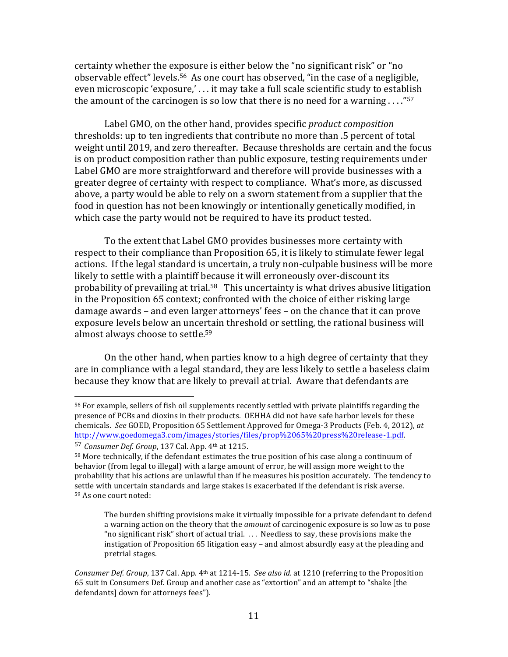certainty whether the exposure is either below the "no significant risk" or "no observable effect" levels.<sup>56</sup> As one court has observed, "in the case of a negligible, even microscopic 'exposure,' ... it may take a full scale scientific study to establish the amount of the carcinogen is so low that there is no need for a warning  $\dots$ ."<sup>57</sup>

Label GMO, on the other hand, provides specific *product composition* thresholds: up to ten ingredients that contribute no more than .5 percent of total weight until 2019, and zero thereafter. Because thresholds are certain and the focus is on product composition rather than public exposure, testing requirements under Label GMO are more straightforward and therefore will provide businesses with a greater degree of certainty with respect to compliance. What's more, as discussed above, a party would be able to rely on a sworn statement from a supplier that the food in question has not been knowingly or intentionally genetically modified, in which case the party would not be required to have its product tested.

To the extent that Label GMO provides businesses more certainty with respect to their compliance than Proposition 65, it is likely to stimulate fewer legal actions. If the legal standard is uncertain, a truly non-culpable business will be more likely to settle with a plaintiff because it will erroneously over-discount its probability of prevailing at trial.<sup>58</sup> This uncertainty is what drives abusive litigation in the Proposition 65 context; confronted with the choice of either risking large damage awards – and even larger attorneys' fees – on the chance that it can prove exposure levels below an uncertain threshold or settling, the rational business will almost always choose to settle.<sup>59</sup>

On the other hand, when parties know to a high degree of certainty that they are in compliance with a legal standard, they are less likely to settle a baseless claim because they know that are likely to prevail at trial. Aware that defendants are

&&&&&&&&&&&&&&&&&&&&&&&&&&&&&&&&&&&&&&&&&&&&&&&&&&&&&&&

The burden shifting provisions make it virtually impossible for a private defendant to defend a warning action on the theory that the *amount* of carcinogenic exposure is so low as to pose "no significant risk" short of actual trial.  $\ldots$  Needless to say, these provisions make the instigation of Proposition  $65$  litigation easy – and almost absurdly easy at the pleading and pretrial stages.

<sup>&</sup>lt;sup>56</sup> For example, sellers of fish oil supplements recently settled with private plaintiffs regarding the presence of PCBs and dioxins in their products. OEHHA did not have safe harbor levels for these chemicals. See GOED, Proposition 65 Settlement Approved for Omega-3 Products (Feb. 4, 2012), at http://www.goedomega3.com/images/stories/files/prop%2065%20press%20release-1.pdf.

<sup>57</sup> *Consumer Def. Group*, 137 Cal. App. 4<sup>th</sup> at 1215.

<sup>58</sup> More technically, if the defendant estimates the true position of his case along a continuum of behavior (from legal to illegal) with a large amount of error, he will assign more weight to the probability that his actions are unlawful than if he measures his position accurately. The tendency to settle with uncertain standards and large stakes is exacerbated if the defendant is risk averse. 59 As one court noted:

*Consumer Def. Group*, 137 Cal. App. 4<sup>th</sup> at 1214-15. See also id. at 1210 (referring to the Proposition 65 suit in Consumers Def. Group and another case as "extortion" and an attempt to "shake [the defendants] down for attorneys fees").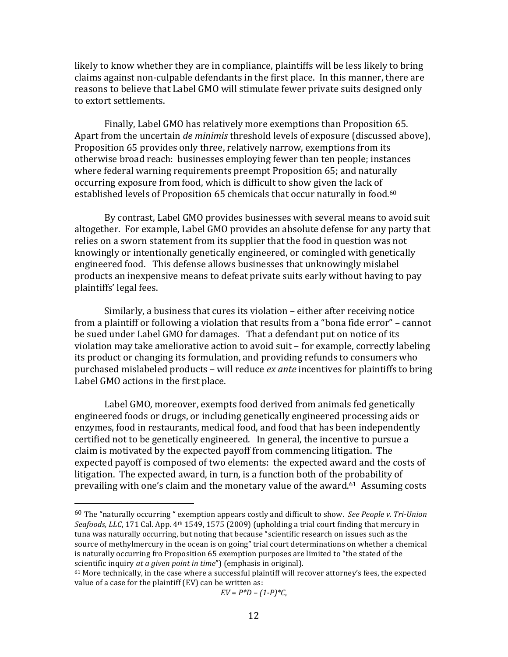likely to know whether they are in compliance, plaintiffs will be less likely to bring claims against non-culpable defendants in the first place. In this manner, there are reasons to believe that Label GMO will stimulate fewer private suits designed only to extort settlements.

Finally, Label GMO has relatively more exemptions than Proposition 65. Apart from the uncertain *de minimis* threshold levels of exposure (discussed above), Proposition 65 provides only three, relatively narrow, exemptions from its otherwise broad reach: businesses employing fewer than ten people; instances where federal warning requirements preempt Proposition 65; and naturally occurring exposure from food, which is difficult to show given the lack of established levels of Proposition 65 chemicals that occur naturally in food.<sup>60</sup>

By contrast, Label GMO provides businesses with several means to avoid suit altogether. For example, Label GMO provides an absolute defense for any party that relies on a sworn statement from its supplier that the food in question was not knowingly or intentionally genetically engineered, or comingled with genetically engineered food. This defense allows businesses that unknowingly mislabel products an inexpensive means to defeat private suits early without having to pay plaintiffs' legal fees.

Similarly, a business that cures its violation – either after receiving notice from a plaintiff or following a violation that results from a "bona fide error" – cannot be sued under Label GMO for damages. That a defendant put on notice of its violation may take ameliorative action to avoid suit – for example, correctly labeling its product or changing its formulation, and providing refunds to consumers who purchased mislabeled products – will reduce *ex ante* incentives for plaintiffs to bring Label GMO actions in the first place.

Label GMO, moreover, exempts food derived from animals fed genetically engineered foods or drugs, or including genetically engineered processing aids or enzymes, food in restaurants, medical food, and food that has been independently certified not to be genetically engineered. In general, the incentive to pursue a claim is motivated by the expected payoff from commencing litigation. The expected payoff is composed of two elements: the expected award and the costs of litigation. The expected award, in turn, is a function both of the probability of prevailing with one's claim and the monetary value of the award.<sup>61</sup> Assuming costs

&&&&&&&&&&&&&&&&&&&&&&&&&&&&&&&&&&&&&&&&&&&&&&&&&&&&&&&

 $EV = P*D - (1-P)*C$ ,

<sup>&</sup>lt;sup>60</sup> The "naturally occurring " exemption appears costly and difficult to show. See *People v. Tri-Union* Seafoods, LLC, 171 Cal. App. 4<sup>th</sup> 1549, 1575 (2009) (upholding a trial court finding that mercury in tuna was naturally occurring, but noting that because "scientific research on issues such as the source of methylmercury in the ocean is on going" trial court determinations on whether a chemical is naturally occurring fro Proposition 65 exemption purposes are limited to "the stated of the scientific inquiry *at a given point in time*") (emphasis in original).

 $61$  More technically, in the case where a successful plaintiff will recover attorney's fees, the expected value of a case for the plaintiff (EV) can be written as: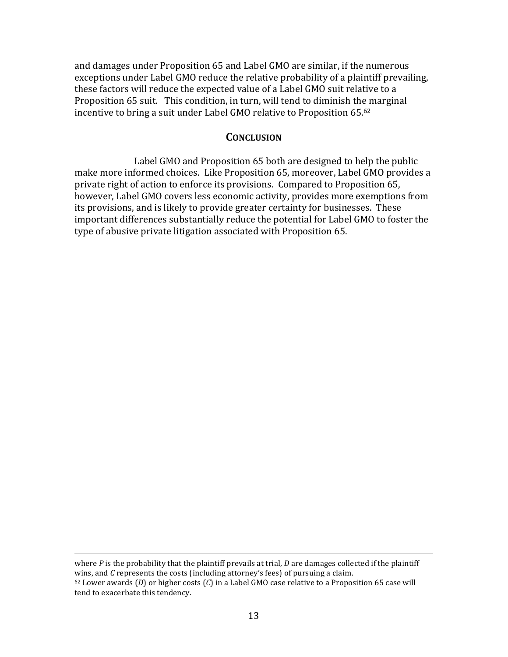and damages under Proposition 65 and Label GMO are similar, if the numerous exceptions under Label GMO reduce the relative probability of a plaintiff prevailing, these factors will reduce the expected value of a Label GMO suit relative to a Proposition 65 suit. This condition, in turn, will tend to diminish the marginal incentive to bring a suit under Label GMO relative to Proposition 65.62

### **CONCLUSION**

Label GMO and Proposition 65 both are designed to help the public make more informed choices. Like Proposition 65, moreover, Label GMO provides a private right of action to enforce its provisions. Compared to Proposition 65, however, Label GMO covers less economic activity, provides more exemptions from its provisions, and is likely to provide greater certainty for businesses. These important differences substantially reduce the potential for Label GMO to foster the type of abusive private litigation associated with Proposition 65.

&&&&&&&&&&&&&&&&&&&&&&&&&&&&&&&&&&&&&&&&&&&&&&&&&&&&&&&&&&&&&&&&&&&&&&&&&&&&&&&&&&&&&&&&&&&&&&&&&&&&&&&&&&&&&&&&&&&&&&&&&&&&&&&&&&&&&&&&&&&&&&&&&&&&&&&&&&&&&&&&&&&&

where  $P$  is the probability that the plaintiff prevails at trial,  $D$  are damages collected if the plaintiff wins, and C represents the costs (including attorney's fees) of pursuing a claim.  $62$  Lower awards (*D*) or higher costs (*C*) in a Label GMO case relative to a Proposition 65 case will tend to exacerbate this tendency.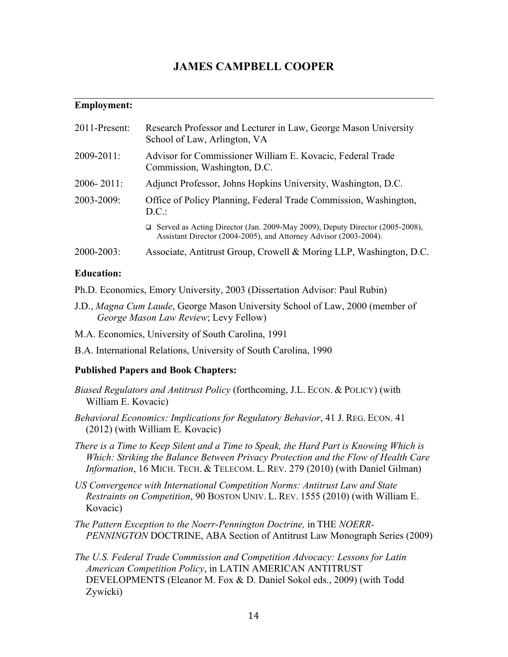# **JAMES CAMPBELL COOPER**

### **Employment:**

| 2011-Present:   | Research Professor and Lecturer in Law, George Mason University<br>School of Law, Arlington, VA                                                          |
|-----------------|----------------------------------------------------------------------------------------------------------------------------------------------------------|
| $2009 - 2011$ : | Advisor for Commissioner William E. Kovacic, Federal Trade<br>Commission, Washington, D.C.                                                               |
| $2006 - 2011$ : | Adjunct Professor, Johns Hopkins University, Washington, D.C.                                                                                            |
| 2003-2009:      | Office of Policy Planning, Federal Trade Commission, Washington,<br>D.C.                                                                                 |
|                 | $\Box$ Served as Acting Director (Jan. 2009-May 2009), Deputy Director (2005-2008),<br>Assistant Director (2004-2005), and Attorney Advisor (2003-2004). |
| $2000 - 2003$ : | Associate, Antitrust Group, Crowell & Moring LLP, Washington, D.C.                                                                                       |

#### **Education:**

- Ph.D. Economics, Emory University, 2003 (Dissertation Advisor: Paul Rubin)
- J.D., *Magna Cum Laude*, George Mason University School of Law, 2000 (member of *George Mason Law Review*; Levy Fellow)
- M.A. Economics, University of South Carolina, 1991
- B.A. International Relations, University of South Carolina, 1990

#### **Published Papers and Book Chapters:**

- *Biased Regulators and Antitrust Policy* (forthcoming, J.L. ECON. & POLICY) (with William E. Kovacic)
- *Behavioral Economics: Implications for Regulatory Behavior*, 41 J. REG. ECON. 41 (2012) (with William E. Kovacic)
- *There is a Time to Keep Silent and a Time to Speak, the Hard Part is Knowing Which is Which: Striking the Balance Between Privacy Protection and the Flow of Health Care Information*, 16 MICH. TECH. & TELECOM. L. REV. 279 (2010) (with Daniel Gilman)
- *US Convergence with International Competition Norms: Antitrust Law and State Restraints on Competition*, 90 BOSTON UNIV. L. REV. 1555 (2010) (with William E. Kovacic)
- *The Pattern Exception to the Noerr-Pennington Doctrine,* in THE *NOERR-PENNINGTON* DOCTRINE, ABA Section of Antitrust Law Monograph Series (2009)
- *The U.S. Federal Trade Commission and Competition Advocacy: Lessons for Latin American Competition Policy*, in LATIN AMERICAN ANTITRUST DEVELOPMENTS (Eleanor M. Fox & D. Daniel Sokol eds., 2009) (with Todd Zywicki)